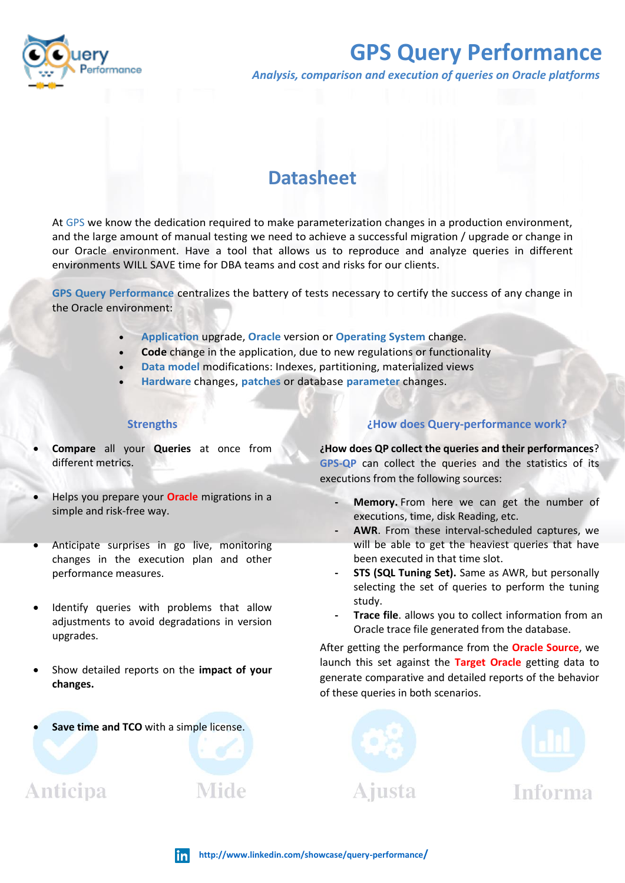

# **GPS Query Performance**

*Analysis, comparison and execution of queries on Oracle platforms*

## **Datasheet**

At [GPS](https://www.gpsos.es/) we know the dedication required to make parameterization changes in a production environment, and the large amount of manual testing we need to achieve a successful migration / upgrade or change in our Oracle environment. Have a tool that allows us to reproduce and analyze queries in different environments WILL SAVE time for DBA teams and cost and risks for our clients.

**GPS Query Performance** centralizes the battery of tests necessary to certify the success of any change in the Oracle environment:

- **Application** upgrade, **Oracle** version or **Operating System** change.
- **Code** change in the application, due to new regulations or functionality
- **Data model** modifications: Indexes, partitioning, materialized views
- **Hardware** changes, **patches** or database **parameter** changes.

#### **Strengths**

- **Compare** all your **Queries** at once from different metrics.
- Helps you prepare your **Oracle** migrations in a simple and risk-free way.
- Anticipate surprises in go live, monitoring changes in the execution plan and other performance measures.
- Identify queries with problems that allow adjustments to avoid degradations in version upgrades.
- Show detailed reports on the **impact of your changes.**
- Save time and TCO with a simple license.

**Anticipa** 

#### **¿How does Query-performance work?**

**¿How does QP collect the queries and their performances**? **GPS-QP** can collect the queries and the statistics of its executions from the following sources:

- **- Memory.** From here we can get the number of executions, time, disk Reading, etc.
- **- AWR**. From these interval-scheduled captures, we will be able to get the heaviest queries that have been executed in that time slot.
- **STS (SQL Tuning Set).** Same as AWR, but personally selecting the set of queries to perform the tuning study.
- **- Trace file**. allows you to collect information from an Oracle trace file generated from the database.

After getting the performance from the **Oracle Source**, we launch this set against the **Target Oracle** getting data to generate comparative and detailed reports of the behavior of these queries in both scenarios.





Mide